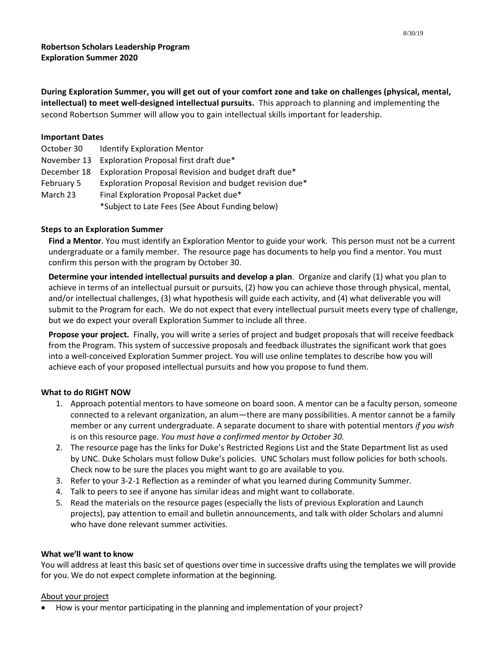**During Exploration Summer, you will get out of your comfort zone and take on challenges (physical, mental, intellectual) to meet well-designed intellectual pursuits.** This approach to planning and implementing the second Robertson Summer will allow you to gain intellectual skills important for leadership.

## **Important Dates**

| October 30  | <b>Identify Exploration Mentor</b>                     |
|-------------|--------------------------------------------------------|
| November 13 | Exploration Proposal first draft due*                  |
| December 18 | Exploration Proposal Revision and budget draft due*    |
| February 5  | Exploration Proposal Revision and budget revision due* |
| March 23    | Final Exploration Proposal Packet due*                 |
|             | *Subject to Late Fees (See About Funding below)        |

# **Steps to an Exploration Summer**

**Find a Mentor**. You must identify an Exploration Mentor to guide your work. This person must not be a current undergraduate or a family member. The resource page has documents to help you find a mentor. You must confirm this person with the program by October 30.

**Determine your intended intellectual pursuits and develop a plan**. Organize and clarify (1) what you plan to achieve in terms of an intellectual pursuit or pursuits, (2) how you can achieve those through physical, mental, and/or intellectual challenges, (3) what hypothesis will guide each activity, and (4) what deliverable you will submit to the Program for each. We do not expect that every intellectual pursuit meets every type of challenge, but we do expect your overall Exploration Summer to include all three.

**Propose your project.** Finally, you will write a series of project and budget proposals that will receive feedback from the Program. This system of successive proposals and feedback illustrates the significant work that goes into a well-conceived Exploration Summer project. You will use online templates to describe how you will achieve each of your proposed intellectual pursuits and how you propose to fund them.

# **What to do RIGHT NOW**

- 1. Approach potential mentors to have someone on board soon. A mentor can be a faculty person, someone connected to a relevant organization, an alum—there are many possibilities. A mentor cannot be a family member or any current undergraduate. A separate document to share with potential mentors *if you wish* is on this resource page. *You must have a confirmed mentor by October 30.*
- 2. The resource page has the links for Duke's Restricted Regions List and the State Department list as used by UNC. Duke Scholars must follow Duke's policies. UNC Scholars must follow policies for both schools. Check now to be sure the places you might want to go are available to you.
- 3. Refer to your 3-2-1 Reflection as a reminder of what you learned during Community Summer.
- 4. Talk to peers to see if anyone has similar ideas and might want to collaborate.
- 5. Read the materials on the resource pages (especially the lists of previous Exploration and Launch projects), pay attention to email and bulletin announcements, and talk with older Scholars and alumni who have done relevant summer activities.

### **What we'll want to know**

You will address at least this basic set of questions over time in successive drafts using the templates we will provide for you. We do not expect complete information at the beginning.

### About your project

How is your mentor participating in the planning and implementation of your project?